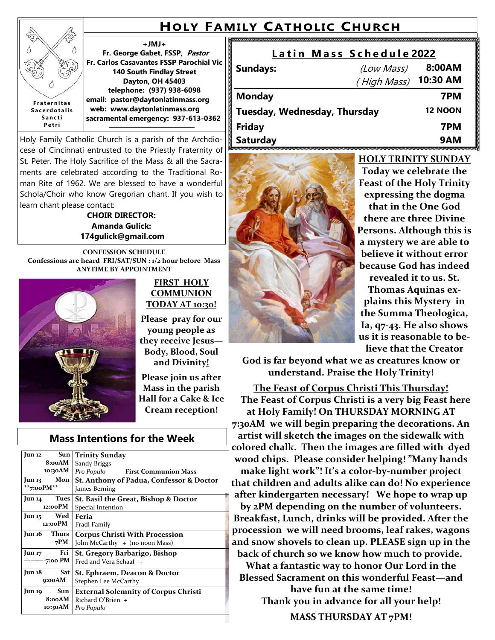# **HOLY FAMILY CATHOLIC CHURCH**

### **+JMJ+**

**Fr. George Gabet, FSSP, Pastor Fr. Carlos Casavantes FSSP Parochial Vic 140 South Findlay Street Dayton, OH 45403 telephone: (937) 938-6098 email: pastor@daytonlatinmass.org web: www.daytonlatinmass.org sacramental emergency: 937-613-0362** 

Holy Family Catholic Church is a parish of the Archdiocese of Cincinnati entrusted to the Priestly Fraternity of St. Peter. The Holy Sacrifice of the Mass & all the Sacraments are celebrated according to the Traditional Roman Rite of 1962. We are blessed to have a wonderful Schola/Choir who know Gregorian chant. If you wish to learn chant please contact:

#### **CHOIR DIRECTOR: Amanda Gulick: 174gulick@gmail.com**

**CONFESSION SCHEDULE Confessions are heard FRI/SAT/SUN : 1/2 hour before Mass ANYTIME BY APPOINTMENT**



**F r a t e r n i t a s S a c e r d o t a l i s S a n c t i P e t r i**

ž

#### **FIRST HOLY COMMUNION TODAY AT 10:30!**

**Please pray for our young people as they receive Jesus— Body, Blood, Soul and Divinity!**

**Please join us after Mass in the parish Hall for a Cake & Ice Cream reception!** 

## **Mass Intentions for the Week**

| Sun<br>Jun 12<br>8:00AM | <b>Trinity Sunday</b><br>Sandy Briggs       |  |  |
|-------------------------|---------------------------------------------|--|--|
| 10:30AM                 | Pro Populo First Communion Mass             |  |  |
| Mon<br>Jun 13           | St. Anthony of Padua, Confessor & Doctor    |  |  |
| **7:00PM**              | James Berning                               |  |  |
| Tues<br>Jun 14          | St. Basil the Great, Bishop & Doctor        |  |  |
| 12:00PM                 | Special Intention                           |  |  |
| Wed<br>Jun 15           | Feria                                       |  |  |
| 12:00PM                 | Fradl Family                                |  |  |
| Jun 16<br>Thurs         | <b>Corpus Christi With Procession</b>       |  |  |
| 7PM                     | John McCarthy + (no noon Mass)              |  |  |
| Fri<br>Jun 17           | St. Gregory Barbarigo, Bishop               |  |  |
| -7:00 PM                | Fred and Vera Schaaf +                      |  |  |
| Jun 18<br>Sat           | St. Ephraem, Deacon & Doctor                |  |  |
| 9:00AM                  | Stephen Lee McCarthy                        |  |  |
| Sun<br>Jun 19           | <b>External Solemnity of Corpus Christi</b> |  |  |
| 8:00AM                  | Richard O'Brien $+$                         |  |  |
| 10:30AM                 | Pro Populo                                  |  |  |

#### **L a t i n M a s s S c h e d u l e 2022 Sundays:** (Low Mass) **8:00AM**

|                              | (High Mass) | 10:30 AM       |
|------------------------------|-------------|----------------|
| <b>Monday</b>                |             | 7PM            |
| Tuesday, Wednesday, Thursday |             | <b>12 NOON</b> |
| <b>Friday</b>                |             | 7PM            |
| <b>Saturday</b>              |             | 9AM            |



**HOLY TRINITY SUNDAY Today we celebrate the Feast of the Holy Trinity expressing the dogma that in the One God there are three Divine Persons. Although this is a mystery we are able to believe it without error because God has indeed** 

**revealed it to us. St. Thomas Aquinas explains this Mystery in the Summa Theologica, Ia, q7-43. He also shows us it is reasonable to believe that the Creator** 

**God is far beyond what we as creatures know or understand. Praise the Holy Trinity!** 

**The Feast of Corpus Christi This Thursday! The Feast of Corpus Christi is a very big Feast here at Holy Family! On THURSDAY MORNING AT 7:30AM we will begin preparing the decorations. An artist will sketch the images on the sidewalk with colored chalk. Then the images are filled with dyed wood chips. Please consider helping! "Many hands make light work"! It's a color-by-number project that children and adults alike can do! No experience after kindergarten necessary! We hope to wrap up by 2PM depending on the number of volunteers. Breakfast, Lunch, drinks will be provided. After the procession we will need brooms, leaf rakes, wagons and snow shovels to clean up. PLEASE sign up in the back of church so we know how much to provide.**

**What a fantastic way to honor Our Lord in the Blessed Sacrament on this wonderful Feast—and have fun at the same time! Thank you in advance for all your help!** 

**MASS THURSDAY AT 7PM!**